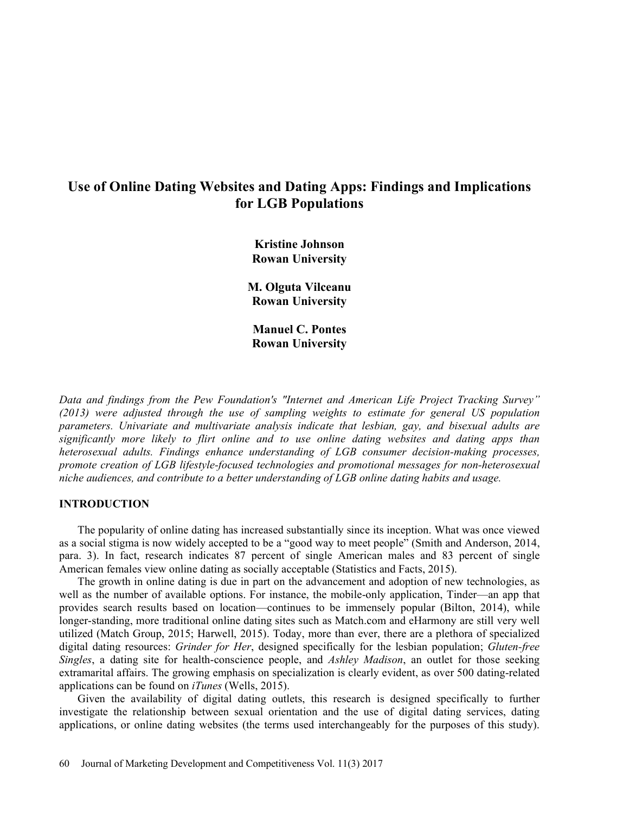# Use of Online Dating Websites and Dating Apps: Findings and Implications for LGB Populations

Kristine Johnson Rowan University

M. Olguta Vilceanu Rowan University

Manuel C. Pontes Rowan University

Data and findings from the Pew Foundation's "Internet and American Life Project Tracking Survey" (2013) were adjusted through the use of sampling weights to estimate for general US population parameters. Univariate and multivariate analysis indicate that lesbian, gay, and bisexual adults are significantly more likely to flirt online and to use online dating websites and dating apps than heterosexual adults. Findings enhance understanding of LGB consumer decision-making processes, promote creation of LGB lifestyle-focused technologies and promotional messages for non-heterosexual niche audiences, and contribute to a better understanding of LGB online dating habits and usage.

# INTRODUCTION

The popularity of online dating has increased substantially since its inception. What was once viewed as a social stigma is now widely accepted to be a "good way to meet people" (Smith and Anderson, 2014, para. 3). In fact, research indicates 87 percent of single American males and 83 percent of single American females view online dating as socially acceptable (Statistics and Facts, 2015).

The growth in online dating is due in part on the advancement and adoption of new technologies, as well as the number of available options. For instance, the mobile-only application, Tinder—an app that provides search results based on location—continues to be immensely popular (Bilton, 2014), while longer-standing, more traditional online dating sites such as Match.com and eHarmony are still very well utilized (Match Group, 2015; Harwell, 2015). Today, more than ever, there are a plethora of specialized digital dating resources: *Grinder for Her*, designed specifically for the lesbian population; *Gluten-free* Singles, a dating site for health-conscience people, and *Ashley Madison*, an outlet for those seeking extramarital affairs. The growing emphasis on specialization is clearly evident, as over 500 dating-related applications can be found on  $iTunes$  (Wells, 2015).

Given the availability of digital dating outlets, this research is designed specifically to further investigate the relationship between sexual orientation and the use of digital dating services, dating applications, or online dating websites (the terms used interchangeably for the purposes of this study).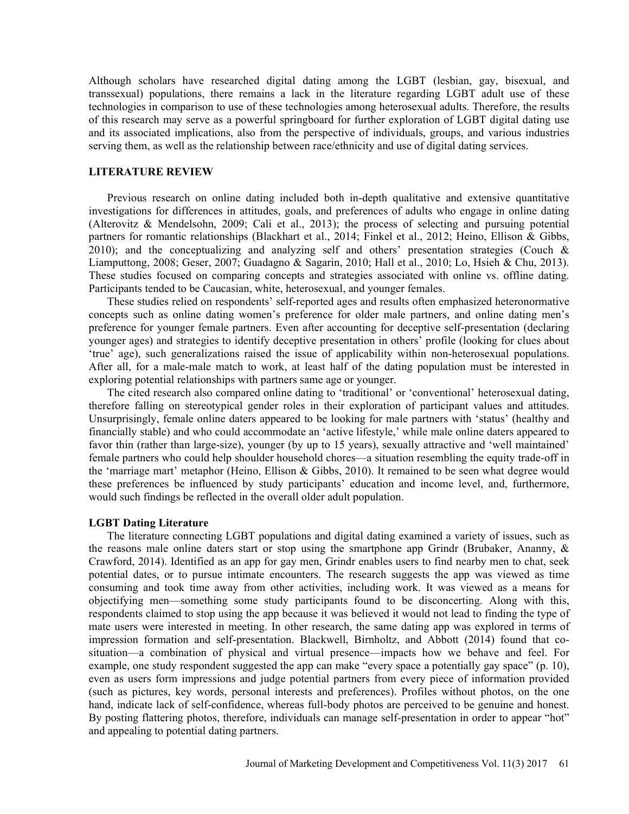Although scholars have researched digital dating among the LGBT (lesbian, gay, bisexual, and transsexual) populations, there remains a lack in the literature regarding LGBT adult use of these technologies in comparison to use of these technologies among heterosexual adults. Therefore, the results of this research may serve as a powerful springboard for further exploration of LGBT digital dating use and its associated implications, also from the perspective of individuals, groups, and various industries serving them, as well as the relationship between race/ethnicity and use of digital dating services.

# LITERATURE REVIEW

Previous research on online dating included both in-depth qualitative and extensive quantitative investigations for differences in attitudes, goals, and preferences of adults who engage in online dating (Alterovitz & Mendelsohn, 2009; Cali et al., 2013); the process of selecting and pursuing potential partners for romantic relationships (Blackhart et al., 2014; Finkel et al., 2012; Heino, Ellison & Gibbs, 2010); and the conceptualizing and analyzing self and others' presentation strategies (Couch  $\&$ Liamputtong, 2008; Geser, 2007; Guadagno & Sagarin, 2010; Hall et al., 2010; Lo, Hsieh & Chu, 2013). These studies focused on comparing concepts and strategies associated with online vs. offline dating. Participants tended to be Caucasian, white, heterosexual, and younger females.

These studies relied on respondents' self-reported ages and results often emphasized heteronormative concepts such as online dating women's preference for older male partners, and online dating men's preference for younger female partners. Even after accounting for deceptive self-presentation (declaring younger ages) and strategies to identify deceptive presentation in others' profile (looking for clues about true age), such generalizations raised the issue of applicability within non-heterosexual populations. After all, for a male-male match to work, at least half of the dating population must be interested in exploring potential relationships with partners same age or younger.

The cited research also compared online dating to 'traditional' or 'conventional' heterosexual dating, therefore falling on stereotypical gender roles in their exploration of participant values and attitudes. Unsurprisingly, female online daters appeared to be looking for male partners with 'status' (healthy and financially stable) and who could accommodate an 'active lifestyle,' while male online daters appeared to favor thin (rather than large-size), younger (by up to 15 years), sexually attractive and 'well maintained' female partners who could help shoulder household chores—a situation resembling the equity trade-off in the 'marriage mart' metaphor (Heino, Ellison  $&$  Gibbs, 2010). It remained to be seen what degree would these preferences be influenced by study participants' education and income level, and, furthermore, would such findings be reflected in the overall older adult population.

#### LGBT Dating Literature

The literature connecting LGBT populations and digital dating examined a variety of issues, such as the reasons male online daters start or stop using the smartphone app Grindr (Brubaker, Ananny, & Crawford, 2014). Identified as an app for gay men, Grindr enables users to find nearby men to chat, seek potential dates, or to pursue intimate encounters. The research suggests the app was viewed as time consuming and took time away from other activities, including work. It was viewed as a means for objectifying men—something some study participants found to be disconcerting. Along with this, respondents claimed to stop using the app because it was believed it would not lead to finding the type of mate users were interested in meeting. In other research, the same dating app was explored in terms of impression formation and self-presentation. Blackwell, Birnholtz, and Abbott (2014) found that cosituation—a combination of physical and virtual presence—impacts how we behave and feel. For example, one study respondent suggested the app can make "every space a potentially gay space"  $(p. 10)$ , even as users form impressions and judge potential partners from every piece of information provided (such as pictures, key words, personal interests and preferences). Profiles without photos, on the one hand, indicate lack of self-confidence, whereas full-body photos are perceived to be genuine and honest. By posting flattering photos, therefore, individuals can manage self-presentation in order to appear "hot" and appealing to potential dating partners.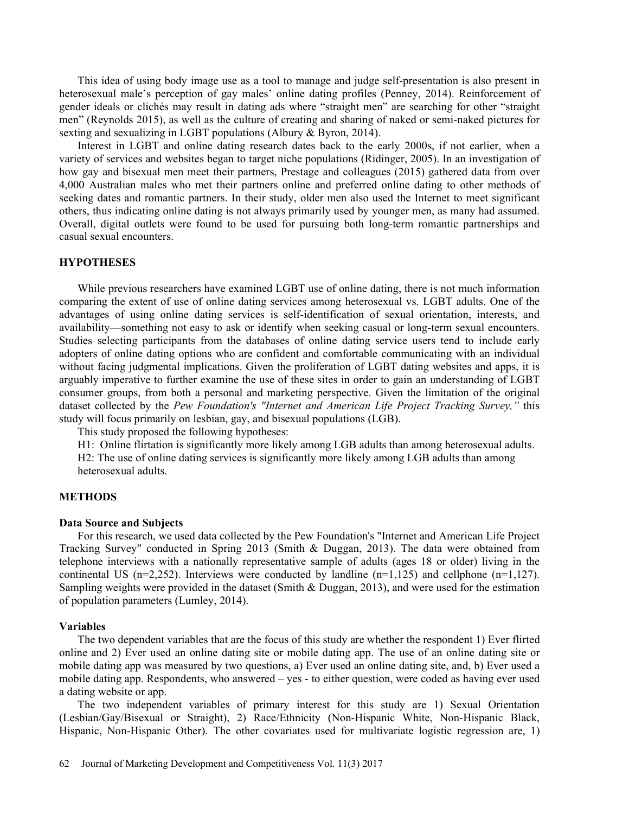This idea of using body image use as a tool to manage and judge self-presentation is also present in heterosexual male's perception of gay males' online dating profiles (Penney, 2014). Reinforcement of gender ideals or clichés may result in dating ads where "straight men" are searching for other "straight men" (Reynolds 2015), as well as the culture of creating and sharing of naked or semi-naked pictures for sexting and sexualizing in LGBT populations (Albury & Byron, 2014).

Interest in LGBT and online dating research dates back to the early 2000s, if not earlier, when a variety of services and websites began to target niche populations (Ridinger, 2005). In an investigation of how gay and bisexual men meet their partners, Prestage and colleagues (2015) gathered data from over 4,000 Australian males who met their partners online and preferred online dating to other methods of seeking dates and romantic partners. In their study, older men also used the Internet to meet significant others, thus indicating online dating is not always primarily used by younger men, as many had assumed. Overall, digital outlets were found to be used for pursuing both long-term romantic partnerships and casual sexual encounters.

#### **HYPOTHESES**

While previous researchers have examined LGBT use of online dating, there is not much information comparing the extent of use of online dating services among heterosexual vs. LGBT adults. One of the advantages of using online dating services is self-identification of sexual orientation, interests, and availability—something not easy to ask or identify when seeking casual or long-term sexual encounters. Studies selecting participants from the databases of online dating service users tend to include early adopters of online dating options who are confident and comfortable communicating with an individual without facing judgmental implications. Given the proliferation of LGBT dating websites and apps, it is arguably imperative to further examine the use of these sites in order to gain an understanding of LGBT consumer groups, from both a personal and marketing perspective. Given the limitation of the original dataset collected by the Pew Foundation's "Internet and American Life Project Tracking Survey," this study will focus primarily on lesbian, gay, and bisexual populations (LGB).

This study proposed the following hypotheses:

H1: Online flirtation is significantly more likely among LGB adults than among heterosexual adults. H2: The use of online dating services is significantly more likely among LGB adults than among heterosexual adults.

#### **METHODS**

#### Data Source and Subjects

For this research, we used data collected by the Pew Foundation's "Internet and American Life Project Tracking Survey" conducted in Spring 2013 (Smith & Duggan, 2013). The data were obtained from telephone interviews with a nationally representative sample of adults (ages 18 or older) living in the continental US ( $n=2.252$ ). Interviews were conducted by landline ( $n=1,125$ ) and cellphone ( $n=1,127$ ). Sampling weights were provided in the dataset (Smith & Duggan, 2013), and were used for the estimation of population parameters (Lumley, 2014).

#### Variables

The two dependent variables that are the focus of this study are whether the respondent 1) Ever flirted online and 2) Ever used an online dating site or mobile dating app. The use of an online dating site or mobile dating app was measured by two questions, a) Ever used an online dating site, and, b) Ever used a mobile dating app. Respondents, who answered – yes - to either question, were coded as having ever used a dating website or app.

The two independent variables of primary interest for this study are 1) Sexual Orientation (Lesbian/Gay/Bisexual or Straight), 2) Race/Ethnicity (Non-Hispanic White, Non-Hispanic Black, Hispanic, Non-Hispanic Other). The other covariates used for multivariate logistic regression are, 1)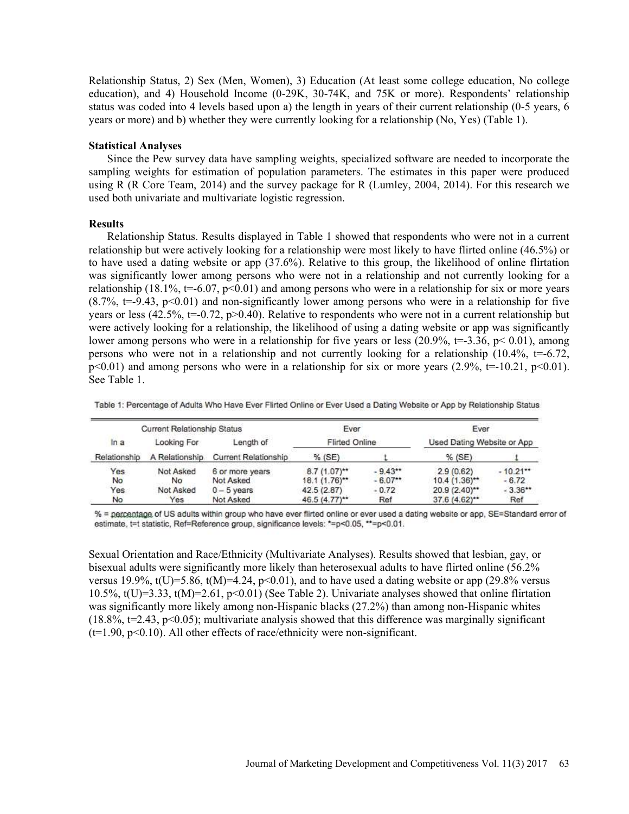Relationship Status, 2) Sex (Men, Women), 3) Education (At least some college education, No college education), and 4) Household Income  $(0-29K, 30-74K,$  and  $75K$  or more). Respondents' relationship status was coded into 4 levels based upon a) the length in years of their current relationship (0-5 years, 6 years or more) and b) whether they were currently looking for a relationship (No, Yes) (Table 1).

#### Statistical Analyses

Since the Pew survey data have sampling weights, specialized software are needed to incorporate the sampling weights for estimation of population parameters. The estimates in this paper were produced using R (R Core Team, 2014) and the survey package for R (Lumley, 2004, 2014). For this research we used both univariate and multivariate logistic regression.

#### Results

Relationship Status. Results displayed in Table 1 showed that respondents who were not in a current relationship but were actively looking for a relationship were most likely to have flirted online (46.5%) or to have used a dating website or app (37.6%). Relative to this group, the likelihood of online flirtation was significantly lower among persons who were not in a relationship and not currently looking for a relationship (18.1%, t=-6.07, p<0.01) and among persons who were in a relationship for six or more years  $(8.7\%$ , t=-9.43, p<0.01) and non-significantly lower among persons who were in a relationship for five years or less (42.5%,  $t=-0.72$ ,  $p>0.40$ ). Relative to respondents who were not in a current relationship but were actively looking for a relationship, the likelihood of using a dating website or app was significantly lower among persons who were in a relationship for five years or less (20.9%,  $t=-3.36$ ,  $p< 0.01$ ), among persons who were not in a relationship and not currently looking for a relationship  $(10.4\%, t=.6.72)$ ,  $p<0.01$ ) and among persons who were in a relationship for six or more years (2.9%,  $t=-10.21$ ,  $p<0.01$ ). See Table 1.

| <b>Current Relationship Status</b> |                |                             | Ever                  |           | Ever                       |            |
|------------------------------------|----------------|-----------------------------|-----------------------|-----------|----------------------------|------------|
| In a                               | Looking For    | Lenath of                   | <b>Flirted Online</b> |           | Used Dating Website or App |            |
| Relationship                       | A Relationship | <b>Current Relationship</b> | $%$ (SE)              |           | $%$ (SE)                   |            |
| Yes                                | Not Asked      | 6 or more years             | $8.7(1.07)^{**}$      | $-9.43**$ | 2.9(0.62)                  | $-10.21**$ |
| No                                 | Nο             | Not Asked                   | $18.1 (1.76)^{**}$    | $-6.07**$ | $10.4(1.36)$ **            | $-6.72$    |
| Yes                                | Not Asked      | $0 - 5$ years               | 42.5(2.87)            | $-0.72$   | $20.9(2.40)$ **            | $-3.36**$  |
| No                                 | Yes            | Not Asked                   | $46.5(4.77)^{**}$     | Ref       | $37.6(4.62)^{4}$           | Ref        |

Table 1: Percentage of Adults Who Have Ever Flirted Online or Ever Used a Dating Website or App by Relationship Status

% = perceptage of US adults within group who have ever flirted online or ever used a dating website or app, SE=Standard error of estimate, t=t statistic, Ref=Reference group, significance levels: \*=p<0.05, \*\*=p<0.01.

Sexual Orientation and Race/Ethnicity (Multivariate Analyses). Results showed that lesbian, gay, or bisexual adults were significantly more likely than heterosexual adults to have flirted online (56.2% versus 19.9%,  $t(U)=5.86$ ,  $t(M)=4.24$ ,  $p<0.01$ ), and to have used a dating website or app (29.8% versus 10.5%,  $t(U)=3.33$ ,  $t(M)=2.61$ ,  $p<0.01$ ) (See Table 2). Univariate analyses showed that online flirtation was significantly more likely among non-Hispanic blacks (27.2%) than among non-Hispanic whites  $(18.8\% , t=2.43, p<0.05)$ ; multivariate analysis showed that this difference was marginally significant  $(t=1.90, p<0.10)$ . All other effects of race/ethnicity were non-significant.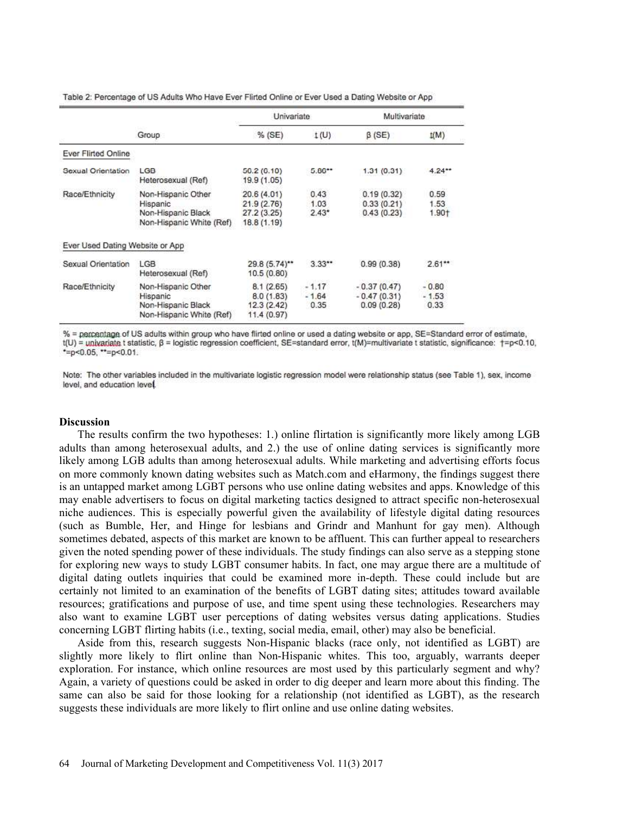| Table 2: Percentage of US Adults Who Have Ever Flirted Online or Ever Used a Dating Website or App |  |  |  |
|----------------------------------------------------------------------------------------------------|--|--|--|

|                                 |                                                                                  | Univariate                                              |                            | <b>Multivariate</b>                          |                                                 |
|---------------------------------|----------------------------------------------------------------------------------|---------------------------------------------------------|----------------------------|----------------------------------------------|-------------------------------------------------|
|                                 | Group                                                                            | $%$ (SE)                                                | t(U)                       | $\beta$ (SE)                                 | t(M)                                            |
| Ever Flirted Online             |                                                                                  |                                                         |                            |                                              |                                                 |
| Sexual Orientation              | LGB<br>Heterosexual (Ref)                                                        | 56.2(6.10)<br>19.9 (1.05)                               | $5.86**$                   | 1.31(0.31)                                   | $4.24**$                                        |
| Race/Ethnicity                  | Non-Hispanic Other<br>Hispanic<br>Non-Hispanic Black<br>Non-Hispanic White (Ref) | 20.6 (4.01)<br>21.9(2.76)<br>27.2 (3.25)<br>18.8 (1.19) | 0.43<br>1.03<br>$2.43*$    | 0.19(0.32)<br>0.33(0.21)<br>0.43(0.23)       | 0.59<br>1.53<br>1.90+                           |
| Ever Used Dating Website or App |                                                                                  |                                                         |                            |                                              |                                                 |
| Sexual Orientation              | LGB<br>Heterosexual (Ref)                                                        | 29.8 (5.74)**<br>10.5(0.80)                             | 3.33                       | 0.99(0.38)                                   | $2.61**$                                        |
| Race/Ethnicity                  | Non-Hispanic Other<br>Hispanic<br>Non-Hispanic Black<br>Non-Hispanic White (Ref) | 8.1(2.65)<br>8.0(1.83)<br>12.3(2.42)<br>11.4 (0.97)     | $-1.17$<br>$-1.64$<br>0.35 | $-0.37(0.47)$<br>$-0.47(0.31)$<br>0.09(0.28) | <b>CONSTRUCTS</b><br>$-0.80$<br>$-1.53$<br>0.33 |

% = perceptage of US adults within group who have flirted online or used a dating website or app, SE=Standard error of estimate, t(U) = univariate t statistic, β = logistic regression coefficient, SE=standard error, t(M)=multivariate t statistic, significance: +=p<0.10, \*=p<0.05, \*\*=p<0.01.

Note: The other variables included in the multivariate logistic regression model were relationship status (see Table 1), sex, income level, and education level.

#### **Discussion**

The results confirm the two hypotheses: 1.) online flirtation is significantly more likely among LGB adults than among heterosexual adults, and 2.) the use of online dating services is significantly more likely among LGB adults than among heterosexual adults. While marketing and advertising efforts focus on more commonly known dating websites such as Match.com and eHarmony, the findings suggest there is an untapped market among LGBT persons who use online dating websites and apps. Knowledge of this may enable advertisers to focus on digital marketing tactics designed to attract specific non-heterosexual niche audiences. This is especially powerful given the availability of lifestyle digital dating resources (such as Bumble, Her, and Hinge for lesbians and Grindr and Manhunt for gay men). Although sometimes debated, aspects of this market are known to be affluent. This can further appeal to researchers given the noted spending power of these individuals. The study findings can also serve as a stepping stone for exploring new ways to study LGBT consumer habits. In fact, one may argue there are a multitude of digital dating outlets inquiries that could be examined more in-depth. These could include but are certainly not limited to an examination of the benefits of LGBT dating sites; attitudes toward available resources; gratifications and purpose of use, and time spent using these technologies. Researchers may also want to examine LGBT user perceptions of dating websites versus dating applications. Studies concerning LGBT flirting habits (i.e., texting, social media, email, other) may also be beneficial.

Aside from this, research suggests Non-Hispanic blacks (race only, not identified as LGBT) are slightly more likely to flirt online than Non-Hispanic whites. This too, arguably, warrants deeper exploration. For instance, which online resources are most used by this particularly segment and why? Again, a variety of questions could be asked in order to dig deeper and learn more about this finding. The same can also be said for those looking for a relationship (not identified as LGBT), as the research suggests these individuals are more likely to flirt online and use online dating websites.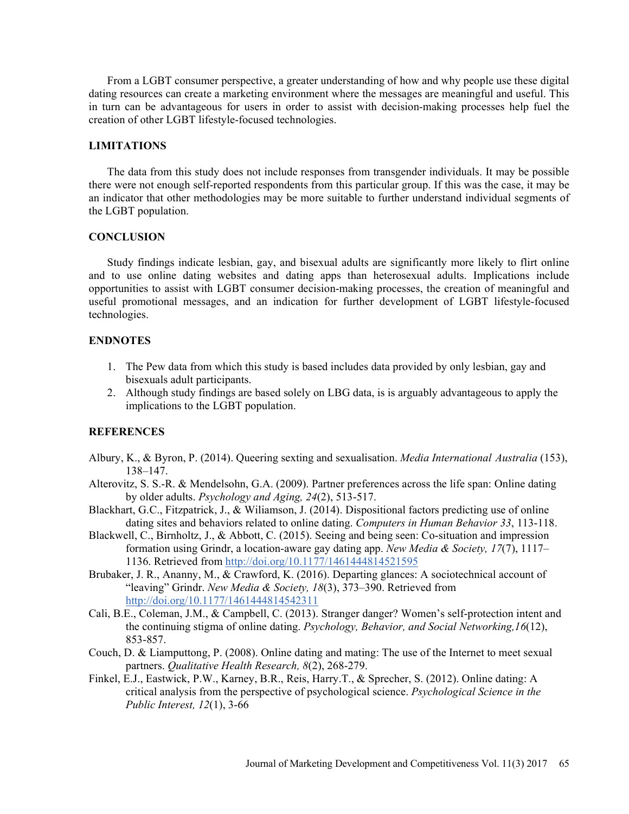From a LGBT consumer perspective, a greater understanding of how and why people use these digital dating resources can create a marketing environment where the messages are meaningful and useful. This in turn can be advantageous for users in order to assist with decision-making processes help fuel the creation of other LGBT lifestyle-focused technologies.

#### LIMITATIONS

The data from this study does not include responses from transgender individuals. It may be possible there were not enough self-reported respondents from this particular group. If this was the case, it may be an indicator that other methodologies may be more suitable to further understand individual segments of the LGBT population.

## **CONCLUSION**

Study findings indicate lesbian, gay, and bisexual adults are significantly more likely to flirt online and to use online dating websites and dating apps than heterosexual adults. Implications include opportunities to assist with LGBT consumer decision-making processes, the creation of meaningful and useful promotional messages, and an indication for further development of LGBT lifestyle-focused technologies.

## ENDNOTES

- 1. The Pew data from which this study is based includes data provided by only lesbian, gay and bisexuals adult participants.
- 2. Although study findings are based solely on LBG data, is is arguably advantageous to apply the implications to the LGBT population.

### **REFERENCES**

- Albury, K., & Byron, P. (2014). Queering sexting and sexualisation. Media International Australia (153), 138-147.
- Alterovitz, S. S.-R. & Mendelsohn, G.A. (2009). Partner preferences across the life span: Online dating by older adults. Psychology and Aging, 24(2), 513-517.
- Blackhart, G.C., Fitzpatrick, J., & Wiliamson, J. (2014). Dispositional factors predicting use of online dating sites and behaviors related to online dating. Computers in Human Behavior 33, 113-118.
- Blackwell, C., Birnholtz, J., & Abbott, C. (2015). Seeing and being seen: Co-situation and impression formation using Grindr, a location-aware gay dating app. New Media & Society,  $17(7)$ ,  $1117-$ 1136. Retrieved from http://doi.org/10.1177/1461444814521595
- Brubaker, J. R., Ananny, M., & Crawford, K. (2016). Departing glances: A sociotechnical account of "leaving" Grindr. New Media & Society, 18(3), 373-390. Retrieved from http://doi.org/10.1177/1461444814542311
- Cali, B.E., Coleman, J.M., & Campbell, C. (2013). Stranger danger? Women's self-protection intent and the continuing stigma of online dating. Psychology, Behavior, and Social Networking,16(12), 853-857.
- Couch, D. & Liamputtong, P. (2008). Online dating and mating: The use of the Internet to meet sexual partners. Qualitative Health Research, 8(2), 268-279.
- Finkel, E.J., Eastwick, P.W., Karney, B.R., Reis, Harry.T., & Sprecher, S. (2012). Online dating: A critical analysis from the perspective of psychological science. Psychological Science in the Public Interest, 12(1), 3-66